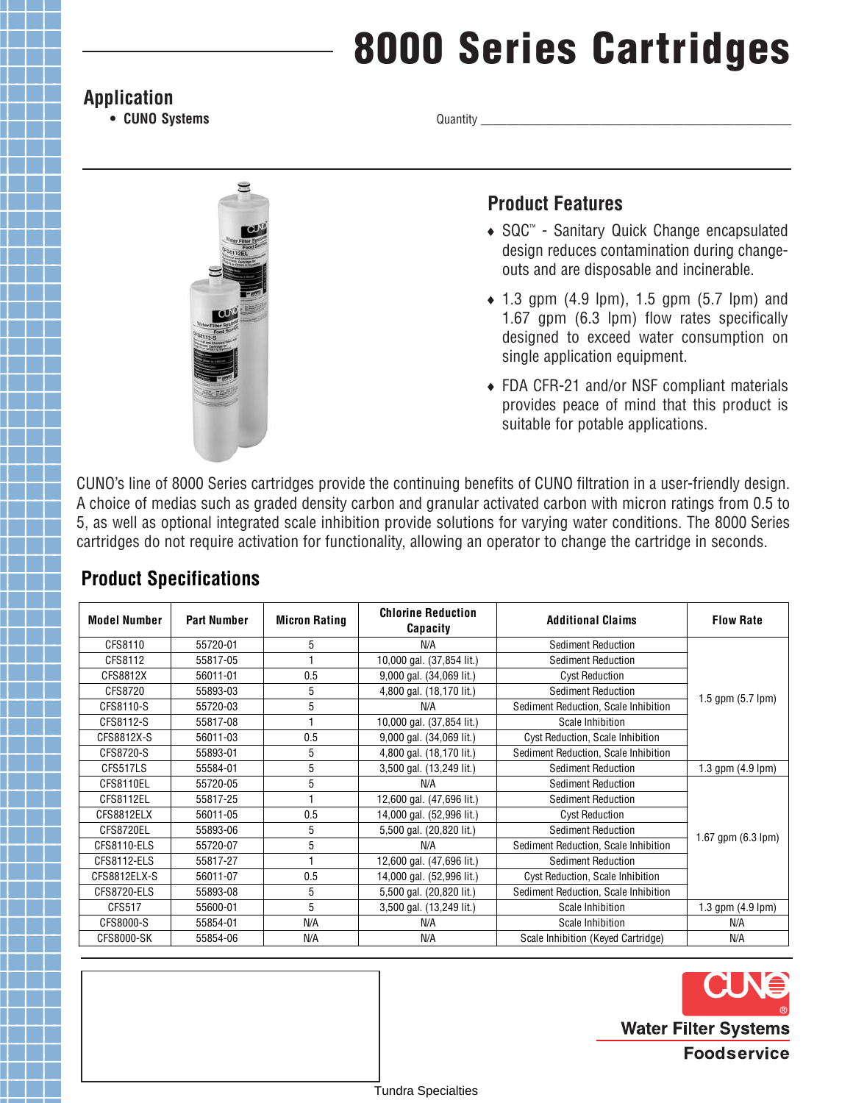# **8000 Series Cartridges**

#### **Application**

**• CUNO Systems**

Quantity \_



### **Product Features**

- ◆ SQC™ Sanitary Quick Change encapsulated design reduces contamination during changeouts and are disposable and incinerable.
- $\bullet$  1.3 gpm (4.9 lpm), 1.5 gpm (5.7 lpm) and 1.67 gpm (6.3 lpm) flow rates specifically designed to exceed water consumption on single application equipment.
- FDA CFR-21 and/or NSF compliant materials provides peace of mind that this product is suitable for potable applications.

CUNO's line of 8000 Series cartridges provide the continuing benefits of CUNO filtration in a user-friendly design. A choice of medias such as graded density carbon and granular activated carbon with micron ratings from 0.5 to 5, as well as optional integrated scale inhibition provide solutions for varying water conditions. The 8000 Series cartridges do not require activation for functionality, allowing an operator to change the cartridge in seconds.

| <b>Model Number</b> | <b>Part Number</b> | <b>Micron Rating</b> | <b>Chlorine Reduction</b><br>Capacity | <b>Additional Claims</b>             | <b>Flow Rate</b>            |
|---------------------|--------------------|----------------------|---------------------------------------|--------------------------------------|-----------------------------|
| CFS8110             | 55720-01           | 5                    | N/A                                   | Sediment Reduction                   | 1.5 gpm $(5.7 \text{ lpm})$ |
| CFS8112             | 55817-05           |                      | 10,000 gal. (37,854 lit.)             | Sediment Reduction                   |                             |
| CFS8812X            | 56011-01           | 0.5                  | 9,000 gal. (34,069 lit.)              | <b>Cyst Reduction</b>                |                             |
| CFS8720             | 55893-03           | 5                    | 4,800 gal. (18,170 lit.)              | Sediment Reduction                   |                             |
| CFS8110-S           | 55720-03           | 5                    | N/A                                   | Sediment Reduction, Scale Inhibition |                             |
| CFS8112-S           | 55817-08           |                      | 10,000 gal. (37,854 lit.)             | Scale Inhibition                     |                             |
| CFS8812X-S          | 56011-03           | 0.5                  | 9,000 gal. (34,069 lit.)              | Cyst Reduction, Scale Inhibition     |                             |
| CFS8720-S           | 55893-01           | 5                    | 4,800 gal. (18,170 lit.)              | Sediment Reduction, Scale Inhibition |                             |
| CFS517LS            | 55584-01           | 5                    | 3,500 gal. (13,249 lit.)              | Sediment Reduction                   | 1.3 gpm $(4.9 \text{ lpm})$ |
| CFS8110EL           | 55720-05           | 5                    | N/A                                   | Sediment Reduction                   | 1.67 gpm (6.3 lpm)          |
| CFS8112EL           | 55817-25           |                      | 12,600 gal. (47,696 lit.)             | Sediment Reduction                   |                             |
| CFS8812ELX          | 56011-05           | 0.5                  | 14,000 gal. (52,996 lit.)             | <b>Cyst Reduction</b>                |                             |
| CFS8720EL           | 55893-06           | 5                    | 5,500 gal. (20,820 lit.)              | Sediment Reduction                   |                             |
| CFS8110-ELS         | 55720-07           | 5                    | N/A                                   | Sediment Reduction, Scale Inhibition |                             |
| CFS8112-ELS         | 55817-27           |                      | 12,600 gal. (47,696 lit.)             | Sediment Reduction                   |                             |
| CFS8812ELX-S        | 56011-07           | 0.5                  | 14,000 gal. (52,996 lit.)             | Cyst Reduction, Scale Inhibition     |                             |
| CFS8720-ELS         | 55893-08           | 5                    | 5,500 gal. (20,820 lit.)              | Sediment Reduction, Scale Inhibition |                             |
| CFS517              | 55600-01           | 5                    | 3,500 gal. (13,249 lit.)              | Scale Inhibition                     | 1.3 gpm $(4.9$ lpm $)$      |
| CFS8000-S           | 55854-01           | N/A                  | N/A                                   | Scale Inhibition                     | N/A                         |
| CFS8000-SK          | 55854-06           | N/A                  | N/A                                   | Scale Inhibition (Keyed Cartridge)   | N/A                         |

## **Product Specifications**